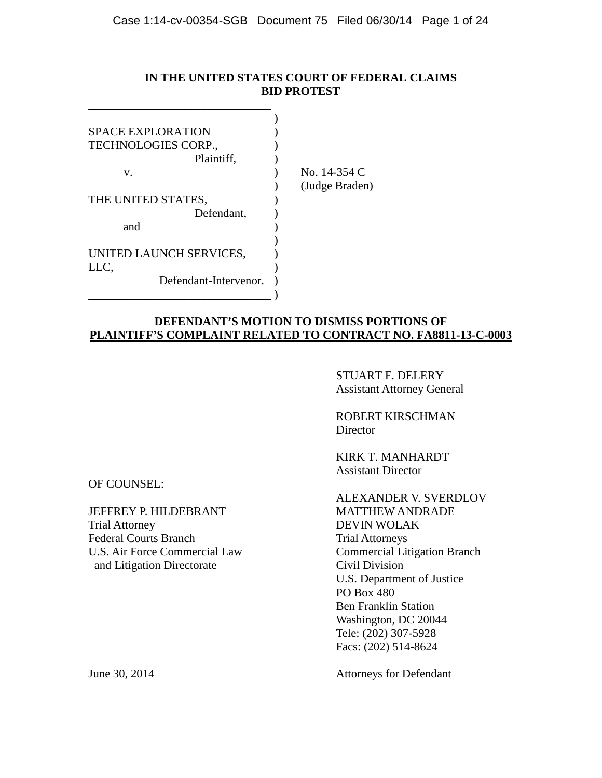## **IN THE UNITED STATES COURT OF FEDERAL CLAIMS BID PROTEST**

| <b>SPACE EXPLORATION</b> |  |
|--------------------------|--|
| TECHNOLOGIES CORP.,      |  |
| Plaintiff,               |  |
| v.                       |  |
|                          |  |
| THE UNITED STATES,       |  |
| Defendant,               |  |
| and                      |  |
|                          |  |
| UNITED LAUNCH SERVICES,  |  |
| LLC,                     |  |
| Defendant-Intervenor.    |  |
|                          |  |

**\_\_\_\_\_\_\_\_\_\_\_\_\_\_\_\_\_\_\_\_\_\_\_\_\_\_\_\_\_\_\_**

 $No. 14-354 C$ ) (Judge Braden)

## **DEFENDANT'S MOTION TO DISMISS PORTIONS OF PLAINTIFF'S COMPLAINT RELATED TO CONTRACT NO. FA8811-13-C-0003**

STUART F. DELERY Assistant Attorney General

ROBERT KIRSCHMAN Director

KIRK T. MANHARDT Assistant Director

ALEXANDER V. SVERDLOV Commercial Litigation Branch<br>Civil Division U.S. Department of Justice PO Box 480 Ben Franklin Station Washington, DC 20044 Tele: (202) 307-5928 Facs: (202) 514-8624

June 30, 2014 Attorneys for Defendant

OF COUNSEL:

JEFFREY P. HILDEBRANT MATTHEW ANDRADE Trial Attorney DEVIN WOLAK Federal Courts Branch<br>
U.S. Air Force Commercial Law<br>
Commercial Lit and Litigation Directorate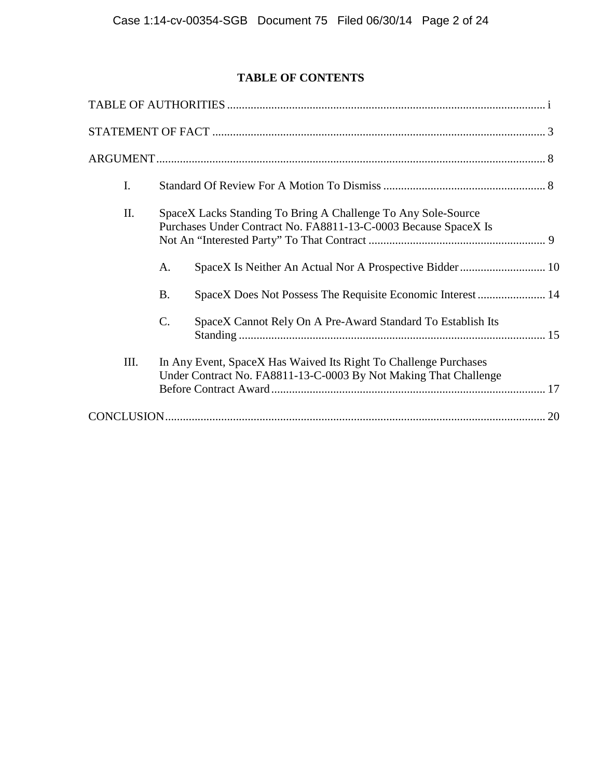# **TABLE OF CONTENTS**

| I.   |                                                                                                                                      |    |
|------|--------------------------------------------------------------------------------------------------------------------------------------|----|
| Π.   | SpaceX Lacks Standing To Bring A Challenge To Any Sole-Source<br>Purchases Under Contract No. FA8811-13-C-0003 Because SpaceX Is     |    |
|      | SpaceX Is Neither An Actual Nor A Prospective Bidder 10<br>А.                                                                        |    |
|      | SpaceX Does Not Possess The Requisite Economic Interest  14<br><b>B.</b>                                                             |    |
|      | $\mathbf{C}$ .<br>SpaceX Cannot Rely On A Pre-Award Standard To Establish Its                                                        |    |
| III. | In Any Event, SpaceX Has Waived Its Right To Challenge Purchases<br>Under Contract No. FA8811-13-C-0003 By Not Making That Challenge |    |
|      |                                                                                                                                      | 20 |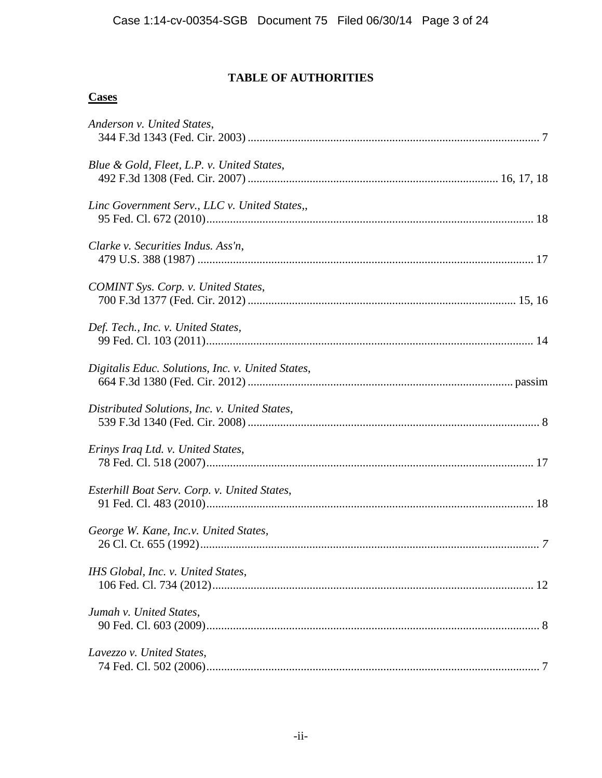# **TABLE OF AUTHORITIES**

## **Cases**

| Anderson v. United States,                        |  |
|---------------------------------------------------|--|
| Blue & Gold, Fleet, L.P. v. United States,        |  |
| Linc Government Serv., LLC v. United States,,     |  |
| Clarke v. Securities Indus. Ass'n,                |  |
| COMINT Sys. Corp. v. United States,               |  |
| Def. Tech., Inc. v. United States,                |  |
| Digitalis Educ. Solutions, Inc. v. United States, |  |
| Distributed Solutions, Inc. v. United States,     |  |
| Erinys Iraq Ltd. v. United States,                |  |
| Esterhill Boat Serv. Corp. v. United States,      |  |
| George W. Kane, Inc.v. United States,             |  |
| IHS Global, Inc. v. United States,                |  |
| Jumah v. United States,                           |  |
| Lavezzo v. United States,                         |  |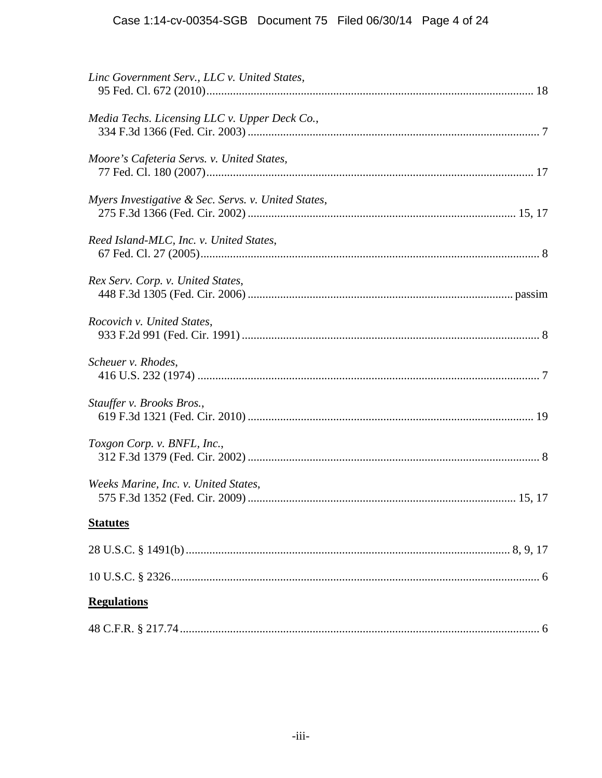| Linc Government Serv., LLC v. United States,        |  |
|-----------------------------------------------------|--|
| Media Techs. Licensing LLC v. Upper Deck Co.,       |  |
| Moore's Cafeteria Servs. v. United States,          |  |
| Myers Investigative & Sec. Servs. v. United States, |  |
| Reed Island-MLC, Inc. v. United States,             |  |
| Rex Serv. Corp. v. United States,                   |  |
| Rocovich v. United States,                          |  |
| Scheuer v. Rhodes,                                  |  |
| Stauffer v. Brooks Bros.,                           |  |
| Toxgon Corp. v. BNFL, Inc.,                         |  |
| Weeks Marine, Inc. v. United States,                |  |
| <b>Statutes</b>                                     |  |
|                                                     |  |
|                                                     |  |
| <b>Regulations</b>                                  |  |
|                                                     |  |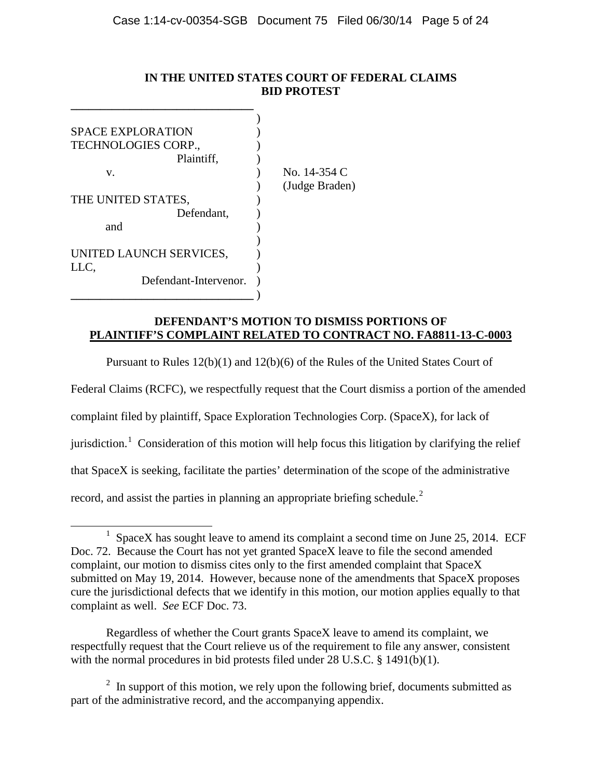## **IN THE UNITED STATES COURT OF FEDERAL CLAIMS BID PROTEST**

| <b>SPACE EXPLORATION</b> |                |
|--------------------------|----------------|
| TECHNOLOGIES CORP.,      |                |
| Plaintiff,               |                |
| V.                       | No. 14-354 C   |
|                          | (Judge Braden) |
| THE UNITED STATES,       |                |
| Defendant,               |                |
| and                      |                |
|                          |                |
| UNITED LAUNCH SERVICES,  |                |
| LLC,                     |                |
| Defendant-Intervenor.    |                |
|                          |                |

## **DEFENDANT'S MOTION TO DISMISS PORTIONS OF PLAINTIFF'S COMPLAINT RELATED TO CONTRACT NO. FA8811-13-C-0003**

Pursuant to Rules 12(b)(1) and 12(b)(6) of the Rules of the United States Court of

Federal Claims (RCFC), we respectfully request that the Court dismiss a portion of the amended complaint filed by plaintiff, Space Exploration Technologies Corp. (SpaceX), for lack of jurisdiction.<sup>[1](#page-4-0)</sup> Consideration of this motion will help focus this litigation by clarifying the relief that SpaceX is seeking, facilitate the parties' determination of the scope of the administrative record, and assist the parties in planning an appropriate briefing schedule.<sup>[2](#page-4-1)</sup>

Regardless of whether the Court grants SpaceX leave to amend its complaint, we respectfully request that the Court relieve us of the requirement to file any answer, consistent with the normal procedures in bid protests filed under 28 U.S.C. § 1491(b)(1).

<span id="page-4-1"></span> $2\;\text{In support of this motion, we rely upon the following brief, documents submitted as }$ part of the administrative record, and the accompanying appendix.

<span id="page-4-0"></span><sup>&</sup>lt;sup>1</sup> SpaceX has sought leave to amend its complaint a second time on June 25, 2014. ECF Doc. 72. Because the Court has not yet granted SpaceX leave to file the second amended complaint, our motion to dismiss cites only to the first amended complaint that SpaceX submitted on May 19, 2014. However, because none of the amendments that SpaceX proposes cure the jurisdictional defects that we identify in this motion, our motion applies equally to that complaint as well. *See* ECF Doc. 73.  $\overline{a}$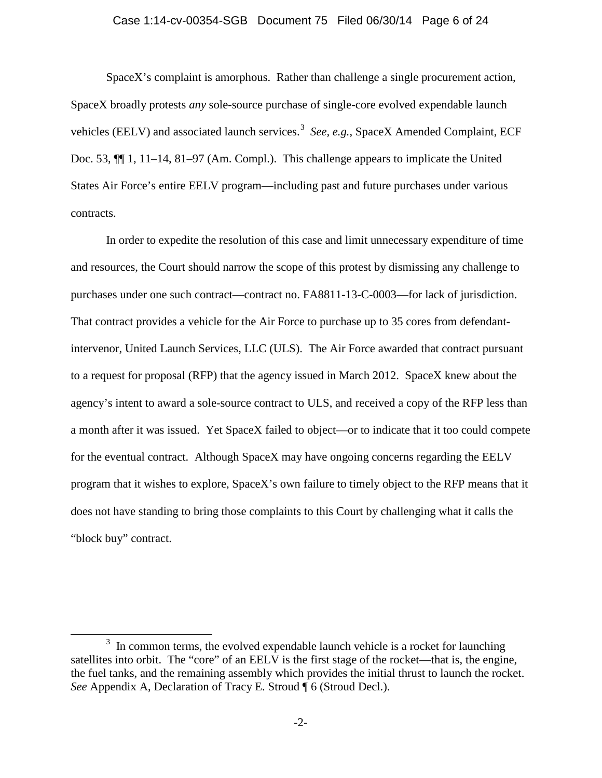## Case 1:14-cv-00354-SGB Document 75 Filed 06/30/14 Page 6 of 24

SpaceX's complaint is amorphous. Rather than challenge a single procurement action, SpaceX broadly protests *any* sole-source purchase of single-core evolved expendable launch vehicles (EELV) and associated launch services. [3](#page-5-0) *See, e.g.*, SpaceX Amended Complaint, ECF Doc. 53, ¶¶ 1, 11–14, 81–97 (Am. Compl.). This challenge appears to implicate the United States Air Force's entire EELV program—including past and future purchases under various contracts.

In order to expedite the resolution of this case and limit unnecessary expenditure of time and resources, the Court should narrow the scope of this protest by dismissing any challenge to purchases under one such contract—contract no. FA8811-13-C-0003—for lack of jurisdiction. That contract provides a vehicle for the Air Force to purchase up to 35 cores from defendantintervenor, United Launch Services, LLC (ULS). The Air Force awarded that contract pursuant to a request for proposal (RFP) that the agency issued in March 2012. SpaceX knew about the agency's intent to award a sole-source contract to ULS, and received a copy of the RFP less than a month after it was issued. Yet SpaceX failed to object—or to indicate that it too could compete for the eventual contract. Although SpaceX may have ongoing concerns regarding the EELV program that it wishes to explore, SpaceX's own failure to timely object to the RFP means that it does not have standing to bring those complaints to this Court by challenging what it calls the "block buy" contract.

<span id="page-5-0"></span> $3\,$  In common terms, the evolved expendable launch vehicle is a rocket for launching satellites into orbit. The "core" of an EELV is the first stage of the rocket—that is, the engine, the fuel tanks, and the remaining assembly which provides the initial thrust to launch the rocket. *See* Appendix A, Declaration of Tracy E. Stroud  $\lceil \sqrt{6} \rceil$  (Stroud Decl.).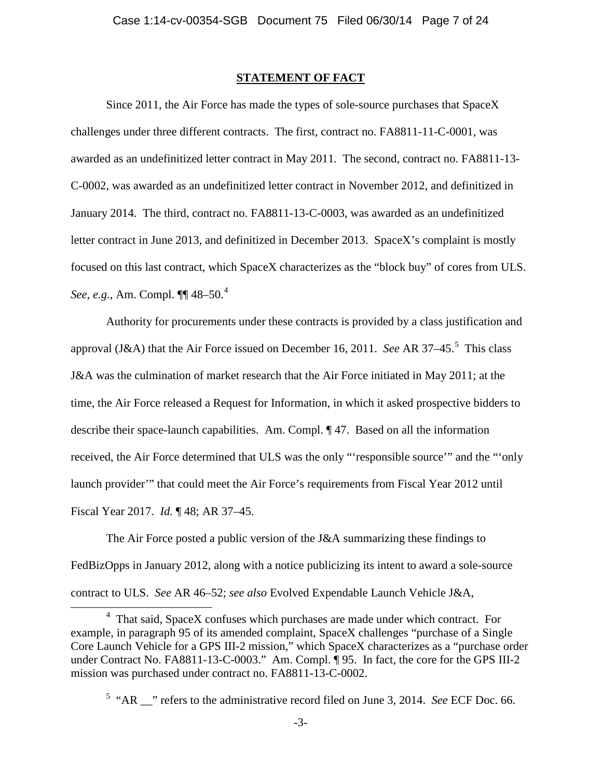#### **STATEMENT OF FACT**

Since 2011, the Air Force has made the types of sole-source purchases that SpaceX challenges under three different contracts. The first, contract no. FA8811-11-C-0001, was awarded as an undefinitized letter contract in May 2011. The second, contract no. FA8811-13- C-0002, was awarded as an undefinitized letter contract in November 2012, and definitized in January 2014. The third, contract no. FA8811-13-C-0003, was awarded as an undefinitized letter contract in June 2013, and definitized in December 2013. SpaceX's complaint is mostly focused on this last contract, which SpaceX characterizes as the "block buy" of cores from ULS. *See, e.g.*, Am. Compl. ¶¶ 48–50. [4](#page-6-0)

Authority for procurements under these contracts is provided by a class justification and approval (J&A) that the Air Force issued on December 16, 2011. *See* AR 37–45. [5](#page-6-1) This class J&A was the culmination of market research that the Air Force initiated in May 2011; at the time, the Air Force released a Request for Information, in which it asked prospective bidders to describe their space-launch capabilities. Am. Compl. ¶ 47. Based on all the information received, the Air Force determined that ULS was the only "'responsible source'" and the "'only launch provider'" that could meet the Air Force's requirements from Fiscal Year 2012 until Fiscal Year 2017. *Id.* ¶ 48; AR 37–45.

The Air Force posted a public version of the J&A summarizing these findings to FedBizOpps in January 2012, along with a notice publicizing its intent to award a sole-source contract to ULS. *See* AR 46–52; *see also* Evolved Expendable Launch Vehicle J&A,

<span id="page-6-0"></span><sup>4</sup> That said, SpaceX confuses which purchases are made under which contract. For example, in paragraph 95 of its amended complaint, SpaceX challenges "purchase of a Single Core Launch Vehicle for a GPS III-2 mission," which SpaceX characterizes as a "purchase order under Contract No. FA8811-13-C-0003." Am. Compl. ¶ 95. In fact, the core for the GPS III-2 mission was purchased under contract no. FA8811-13-C-0002.

<span id="page-6-1"></span><sup>&</sup>lt;sup>5</sup> "AR \_\_" refers to the administrative record filed on June 3, 2014. *See* ECF Doc. 66.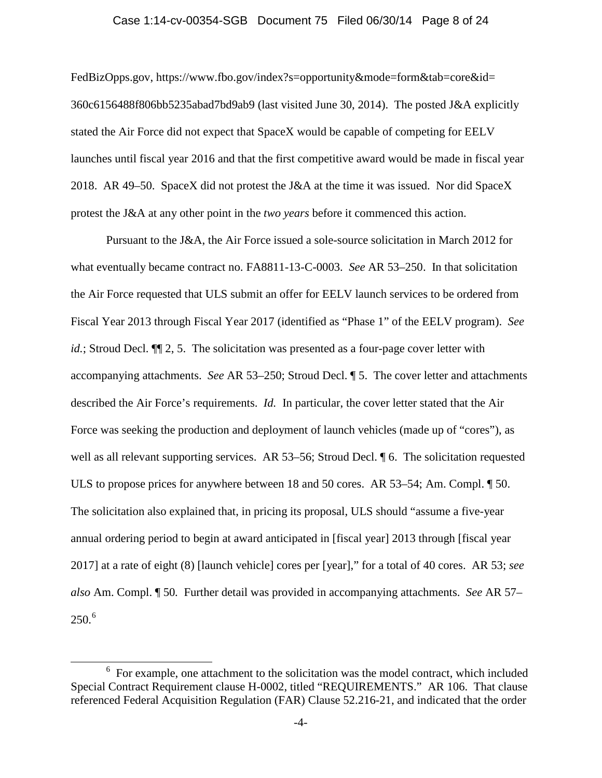#### Case 1:14-cv-00354-SGB Document 75 Filed 06/30/14 Page 8 of 24

FedBizOpps.gov, https://www.fbo.gov/index?s=opportunity&mode=form&tab=core&id= 360c6156488f806bb5235abad7bd9ab9 (last visited June 30, 2014). The posted J&A explicitly stated the Air Force did not expect that SpaceX would be capable of competing for EELV launches until fiscal year 2016 and that the first competitive award would be made in fiscal year 2018. AR 49–50. SpaceX did not protest the J&A at the time it was issued. Nor did SpaceX protest the J&A at any other point in the *two years* before it commenced this action.

Pursuant to the J&A, the Air Force issued a sole-source solicitation in March 2012 for what eventually became contract no. FA8811-13-C-0003. *See* AR 53–250. In that solicitation the Air Force requested that ULS submit an offer for EELV launch services to be ordered from Fiscal Year 2013 through Fiscal Year 2017 (identified as "Phase 1" of the EELV program). *See id.*; Stroud Decl.  $\P$  2, 5. The solicitation was presented as a four-page cover letter with accompanying attachments. *See* AR 53–250; Stroud Decl. ¶ 5.The cover letter and attachments described the Air Force's requirements. *Id.* In particular, the cover letter stated that the Air Force was seeking the production and deployment of launch vehicles (made up of "cores"), as well as all relevant supporting services. AR 53–56; Stroud Decl.  $\parallel$  6. The solicitation requested ULS to propose prices for anywhere between 18 and 50 cores. AR 53–54; Am. Compl. ¶ 50. The solicitation also explained that, in pricing its proposal, ULS should "assume a five-year annual ordering period to begin at award anticipated in [fiscal year] 2013 through [fiscal year 2017] at a rate of eight (8) [launch vehicle] cores per [year]," for a total of 40 cores. AR 53; *see also* Am. Compl. ¶ 50*.* Further detail was provided in accompanying attachments. *See* AR 57– 250. [6](#page-7-0)

<span id="page-7-0"></span> $6$  For example, one attachment to the solicitation was the model contract, which included Special Contract Requirement clause H-0002, titled "REQUIREMENTS." AR 106. That clause referenced Federal Acquisition Regulation (FAR) Clause 52.216-21, and indicated that the order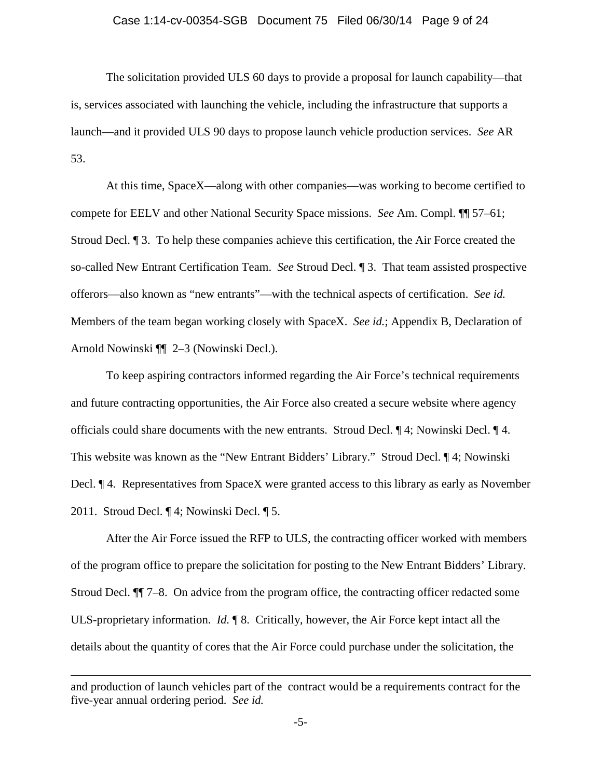## Case 1:14-cv-00354-SGB Document 75 Filed 06/30/14 Page 9 of 24

The solicitation provided ULS 60 days to provide a proposal for launch capability—that is, services associated with launching the vehicle, including the infrastructure that supports a launch—and it provided ULS 90 days to propose launch vehicle production services. *See* AR 53.

At this time, SpaceX—along with other companies—was working to become certified to compete for EELV and other National Security Space missions. *See* Am. Compl. ¶¶ 57–61; Stroud Decl. ¶ 3. To help these companies achieve this certification, the Air Force created the so-called New Entrant Certification Team. *See* Stroud Decl. ¶ 3. That team assisted prospective offerors—also known as "new entrants"—with the technical aspects of certification. *See id.* Members of the team began working closely with SpaceX. *See id.*; Appendix B, Declaration of Arnold Nowinski ¶¶ 2–3 (Nowinski Decl.).

To keep aspiring contractors informed regarding the Air Force's technical requirements and future contracting opportunities, the Air Force also created a secure website where agency officials could share documents with the new entrants. Stroud Decl. ¶ 4; Nowinski Decl. ¶ 4. This website was known as the "New Entrant Bidders' Library." Stroud Decl. ¶ 4; Nowinski Decl. ¶ 4.Representatives from SpaceX were granted access to this library as early as November 2011. Stroud Decl. ¶ 4; Nowinski Decl. ¶ 5.

After the Air Force issued the RFP to ULS, the contracting officer worked with members of the program office to prepare the solicitation for posting to the New Entrant Bidders' Library. Stroud Decl. ¶¶ 7–8. On advice from the program office, the contracting officer redacted some ULS-proprietary information. *Id.* ¶ 8. Critically, however, the Air Force kept intact all the details about the quantity of cores that the Air Force could purchase under the solicitation, the

and production of launch vehicles part of the contract would be a requirements contract for the five-year annual ordering period. *See id.*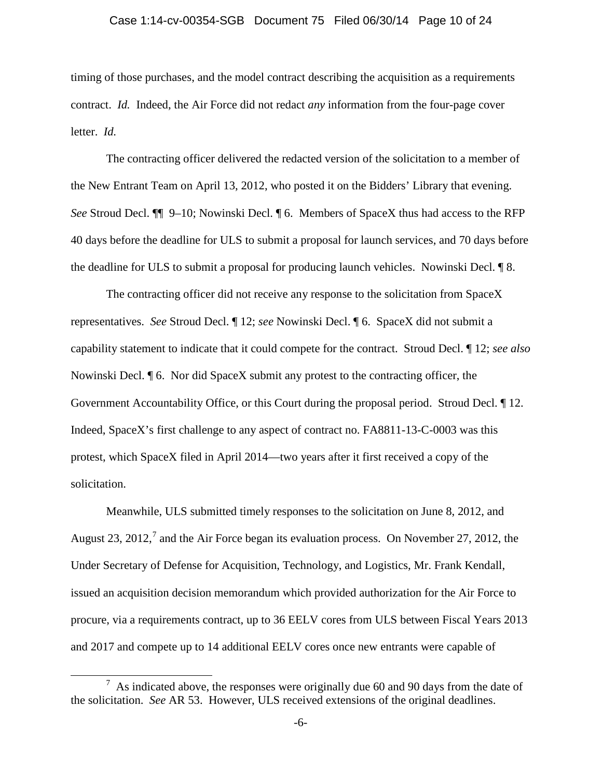#### Case 1:14-cv-00354-SGB Document 75 Filed 06/30/14 Page 10 of 24

timing of those purchases, and the model contract describing the acquisition as a requirements contract. *Id.* Indeed, the Air Force did not redact *any* information from the four-page cover letter. *Id.*

The contracting officer delivered the redacted version of the solicitation to a member of the New Entrant Team on April 13, 2012, who posted it on the Bidders' Library that evening. *See* Stroud Decl. ¶¶ 9–10; Nowinski Decl. ¶ 6. Members of SpaceX thus had access to the RFP 40 days before the deadline for ULS to submit a proposal for launch services, and 70 days before the deadline for ULS to submit a proposal for producing launch vehicles. Nowinski Decl. ¶ 8.

The contracting officer did not receive any response to the solicitation from SpaceX representatives. *See* Stroud Decl. ¶ 12; *see* Nowinski Decl. ¶ 6. SpaceX did not submit a capability statement to indicate that it could compete for the contract. Stroud Decl. ¶ 12; *see also*  Nowinski Decl. ¶ 6. Nor did SpaceX submit any protest to the contracting officer, the Government Accountability Office, or this Court during the proposal period. Stroud Decl. ¶ 12. Indeed, SpaceX's first challenge to any aspect of contract no. FA8811-13-C-0003 was this protest, which SpaceX filed in April 2014—two years after it first received a copy of the solicitation.

Meanwhile, ULS submitted timely responses to the solicitation on June 8, 2012, and August 23, 2012,<sup>[7](#page-9-0)</sup> and the Air Force began its evaluation process. On November 27, 2012, the Under Secretary of Defense for Acquisition, Technology, and Logistics, Mr. Frank Kendall, issued an acquisition decision memorandum which provided authorization for the Air Force to procure, via a requirements contract, up to 36 EELV cores from ULS between Fiscal Years 2013 and 2017 and compete up to 14 additional EELV cores once new entrants were capable of

<span id="page-9-0"></span> $<sup>7</sup>$  As indicated above, the responses were originally due 60 and 90 days from the date of</sup> the solicitation. *See* AR 53. However, ULS received extensions of the original deadlines.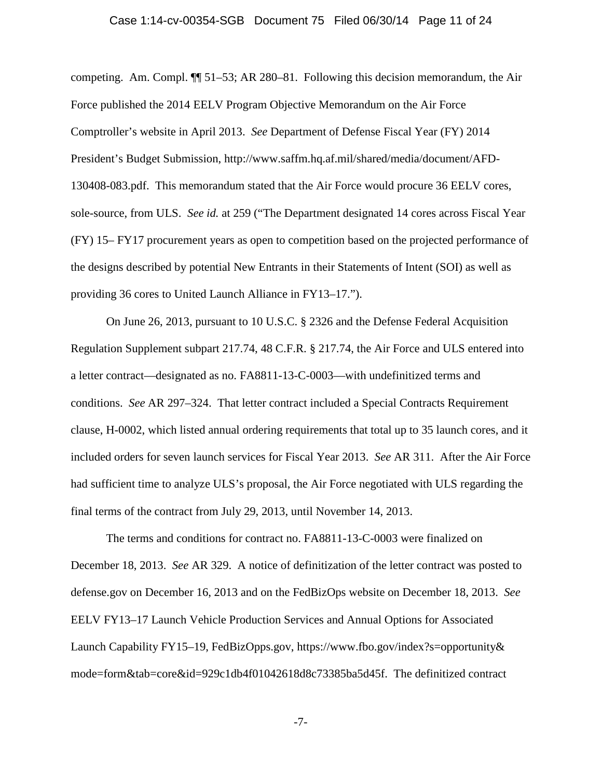#### Case 1:14-cv-00354-SGB Document 75 Filed 06/30/14 Page 11 of 24

competing. Am. Compl. ¶¶ 51–53; AR 280–81. Following this decision memorandum, the Air Force published the 2014 EELV Program Objective Memorandum on the Air Force Comptroller's website in April 2013. *See* Department of Defense Fiscal Year (FY) 2014 President's Budget Submission, http://www.saffm.hq.af.mil/shared/media/document/AFD-130408-083.pdf. This memorandum stated that the Air Force would procure 36 EELV cores, sole-source, from ULS. *See id.* at 259 ("The Department designated 14 cores across Fiscal Year (FY) 15– FY17 procurement years as open to competition based on the projected performance of the designs described by potential New Entrants in their Statements of Intent (SOI) as well as providing 36 cores to United Launch Alliance in FY13–17.").

On June 26, 2013, pursuant to 10 U.S.C. § 2326 and the Defense Federal Acquisition Regulation Supplement subpart 217.74, 48 C.F.R. § 217.74, the Air Force and ULS entered into a letter contract—designated as no. FA8811-13-C-0003—with undefinitized terms and conditions. *See* AR 297–324. That letter contract included a Special Contracts Requirement clause, H-0002, which listed annual ordering requirements that total up to 35 launch cores, and it included orders for seven launch services for Fiscal Year 2013. *See* AR 311. After the Air Force had sufficient time to analyze ULS's proposal, the Air Force negotiated with ULS regarding the final terms of the contract from July 29, 2013, until November 14, 2013.

The terms and conditions for contract no. FA8811-13-C-0003 were finalized on December 18, 2013. *See* AR 329. A notice of definitization of the letter contract was posted to defense.gov on December 16, 2013 and on the FedBizOps website on December 18, 2013. *See* EELV FY13–17 Launch Vehicle Production Services and Annual Options for Associated Launch Capability FY15–19, FedBizOpps.gov, https://www.fbo.gov/index?s=opportunity& mode=form&tab=core&id=929c1db4f01042618d8c73385ba5d45f. The definitized contract

-7-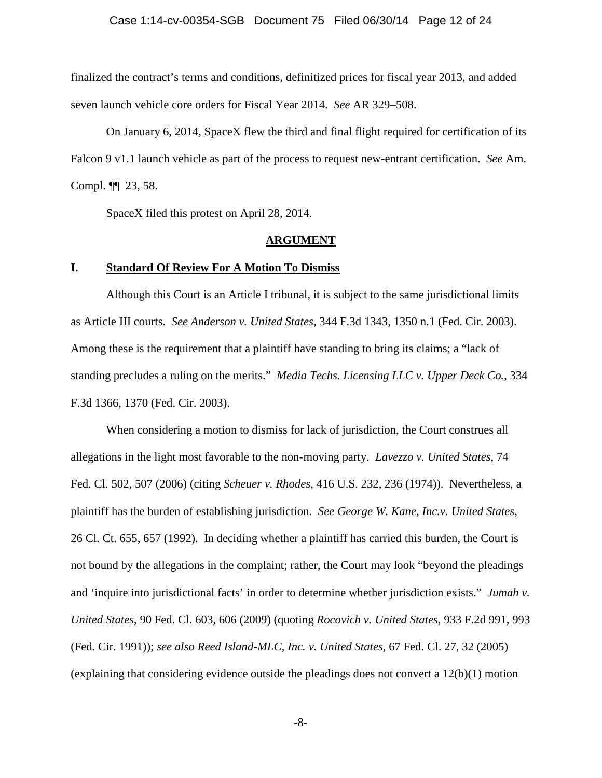#### Case 1:14-cv-00354-SGB Document 75 Filed 06/30/14 Page 12 of 24

finalized the contract's terms and conditions, definitized prices for fiscal year 2013, and added seven launch vehicle core orders for Fiscal Year 2014. *See* AR 329–508.

On January 6, 2014, SpaceX flew the third and final flight required for certification of its Falcon 9 v1.1 launch vehicle as part of the process to request new-entrant certification. *See* Am. Compl. ¶¶ 23, 58.

SpaceX filed this protest on April 28, 2014.

#### **ARGUMENT**

#### **I. Standard Of Review For A Motion To Dismiss**

Although this Court is an Article I tribunal, it is subject to the same jurisdictional limits as Article III courts. *See Anderson v. United States*, 344 F.3d 1343, 1350 n.1 (Fed. Cir. 2003). Among these is the requirement that a plaintiff have standing to bring its claims; a "lack of standing precludes a ruling on the merits." *Media Techs. Licensing LLC v. Upper Deck Co.*, 334 F.3d 1366, 1370 (Fed. Cir. 2003).

When considering a motion to dismiss for lack of jurisdiction, the Court construes all allegations in the light most favorable to the non-moving party. *Lavezzo v. United States*, 74 Fed. Cl. 502, 507 (2006) (citing *Scheuer v. Rhodes*, 416 U.S. 232, 236 (1974)). Nevertheless, a plaintiff has the burden of establishing jurisdiction. *See George W. Kane, Inc.v. United States*, 26 Cl. Ct. 655, 657 (1992). In deciding whether a plaintiff has carried this burden, the Court is not bound by the allegations in the complaint; rather, the Court may look "beyond the pleadings and 'inquire into jurisdictional facts' in order to determine whether jurisdiction exists." *Jumah v. United States*, 90 Fed. Cl. 603, 606 (2009) (quoting *Rocovich v. United States*, 933 F.2d 991, 993 (Fed. Cir. 1991)); *see also Reed Island-MLC, Inc. v. United States*, 67 Fed. Cl. 27, 32 (2005) (explaining that considering evidence outside the pleadings does not convert a 12(b)(1) motion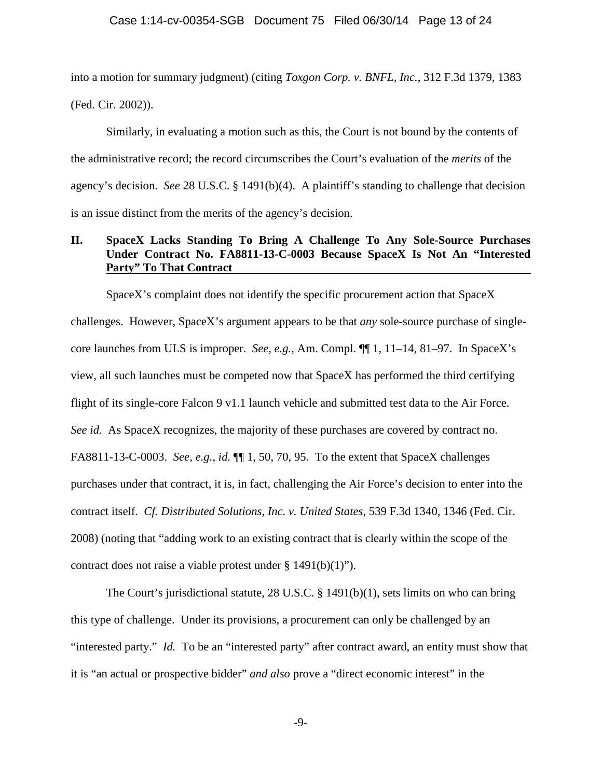into a motion for summary judgment) (citing *Toxgon Corp. v. BNFL, Inc.*, 312 F.3d 1379, 1383 (Fed. Cir. 2002)).

Similarly, in evaluating a motion such as this, the Court is not bound by the contents of the administrative record; the record circumscribes the Court's evaluation of the *merits* of the agency's decision. *See* 28 U.S.C. § 1491(b)(4). A plaintiff's standing to challenge that decision is an issue distinct from the merits of the agency's decision.

## **II. SpaceX Lacks Standing To Bring A Challenge To Any Sole-Source Purchases Under Contract No. FA8811-13-C-0003 Because SpaceX Is Not An "Interested Party" To That Contract**

SpaceX's complaint does not identify the specific procurement action that SpaceX challenges. However, SpaceX's argument appears to be that *any* sole-source purchase of singlecore launches from ULS is improper. *See, e.g.*, Am. Compl. ¶¶ 1, 11–14, 81–97. In SpaceX's view, all such launches must be competed now that SpaceX has performed the third certifying flight of its single-core Falcon 9 v1.1 launch vehicle and submitted test data to the Air Force. *See id.* As SpaceX recognizes, the majority of these purchases are covered by contract no. FA8811-13-C-0003. *See, e.g.*, *id.* ¶¶ 1, 50, 70, 95. To the extent that SpaceX challenges purchases under that contract, it is, in fact, challenging the Air Force's decision to enter into the contract itself. *Cf. Distributed Solutions, Inc. v. United States*, 539 F.3d 1340, 1346 (Fed. Cir. 2008) (noting that "adding work to an existing contract that is clearly within the scope of the contract does not raise a viable protest under § 1491(b)(1)").

The Court's jurisdictional statute, 28 U.S.C. § 1491(b)(1), sets limits on who can bring this type of challenge. Under its provisions, a procurement can only be challenged by an "interested party." *Id.* To be an "interested party" after contract award, an entity must show that it is "an actual or prospective bidder" *and also* prove a "direct economic interest" in the

-9-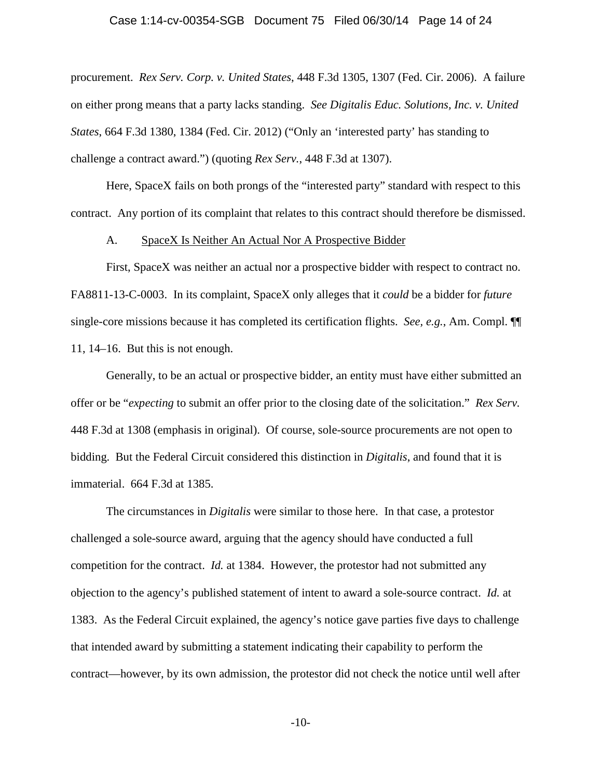#### Case 1:14-cv-00354-SGB Document 75 Filed 06/30/14 Page 14 of 24

procurement. *Rex Serv. Corp. v. United States*, 448 F.3d 1305, 1307 (Fed. Cir. 2006). A failure on either prong means that a party lacks standing. *See Digitalis Educ. Solutions, Inc. v. United States*, 664 F.3d 1380, 1384 (Fed. Cir. 2012) ("Only an 'interested party' has standing to challenge a contract award.") (quoting *Rex Serv.*, 448 F.3d at 1307).

Here, SpaceX fails on both prongs of the "interested party" standard with respect to this contract. Any portion of its complaint that relates to this contract should therefore be dismissed.

#### A. SpaceX Is Neither An Actual Nor A Prospective Bidder

First, SpaceX was neither an actual nor a prospective bidder with respect to contract no. FA8811-13-C-0003. In its complaint, SpaceX only alleges that it *could* be a bidder for *future* single-core missions because it has completed its certification flights. *See, e.g.*, Am. Compl. ¶¶ 11, 14–16. But this is not enough.

Generally, to be an actual or prospective bidder, an entity must have either submitted an offer or be "*expecting* to submit an offer prior to the closing date of the solicitation." *Rex Serv.* 448 F.3d at 1308 (emphasis in original). Of course, sole-source procurements are not open to bidding. But the Federal Circuit considered this distinction in *Digitalis*, and found that it is immaterial. 664 F.3d at 1385.

The circumstances in *Digitalis* were similar to those here. In that case, a protestor challenged a sole-source award, arguing that the agency should have conducted a full competition for the contract. *Id.* at 1384. However, the protestor had not submitted any objection to the agency's published statement of intent to award a sole-source contract. *Id.* at 1383. As the Federal Circuit explained, the agency's notice gave parties five days to challenge that intended award by submitting a statement indicating their capability to perform the contract—however, by its own admission, the protestor did not check the notice until well after

-10-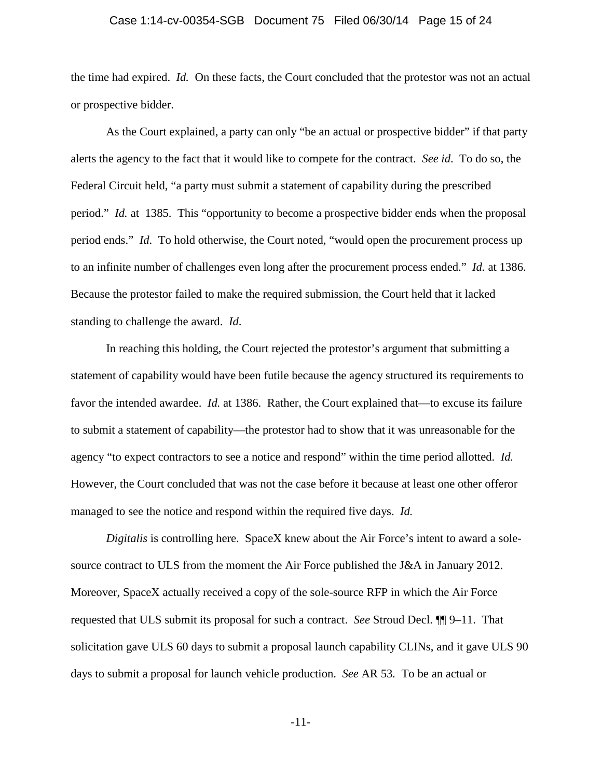#### Case 1:14-cv-00354-SGB Document 75 Filed 06/30/14 Page 15 of 24

the time had expired. *Id.* On these facts, the Court concluded that the protestor was not an actual or prospective bidder.

As the Court explained, a party can only "be an actual or prospective bidder" if that party alerts the agency to the fact that it would like to compete for the contract. *See id*. To do so, the Federal Circuit held, "a party must submit a statement of capability during the prescribed period." *Id.* at 1385. This "opportunity to become a prospective bidder ends when the proposal period ends." *Id*. To hold otherwise, the Court noted, "would open the procurement process up to an infinite number of challenges even long after the procurement process ended." *Id.* at 1386. Because the protestor failed to make the required submission, the Court held that it lacked standing to challenge the award. *Id*.

In reaching this holding, the Court rejected the protestor's argument that submitting a statement of capability would have been futile because the agency structured its requirements to favor the intended awardee. *Id.* at 1386. Rather, the Court explained that—to excuse its failure to submit a statement of capability—the protestor had to show that it was unreasonable for the agency "to expect contractors to see a notice and respond" within the time period allotted. *Id.*  However, the Court concluded that was not the case before it because at least one other offeror managed to see the notice and respond within the required five days. *Id.*

*Digitalis* is controlling here. SpaceX knew about the Air Force's intent to award a solesource contract to ULS from the moment the Air Force published the J&A in January 2012. Moreover, SpaceX actually received a copy of the sole-source RFP in which the Air Force requested that ULS submit its proposal for such a contract. *See* Stroud Decl. ¶¶ 9–11. That solicitation gave ULS 60 days to submit a proposal launch capability CLINs, and it gave ULS 90 days to submit a proposal for launch vehicle production. *See* AR 53*.* To be an actual or

-11-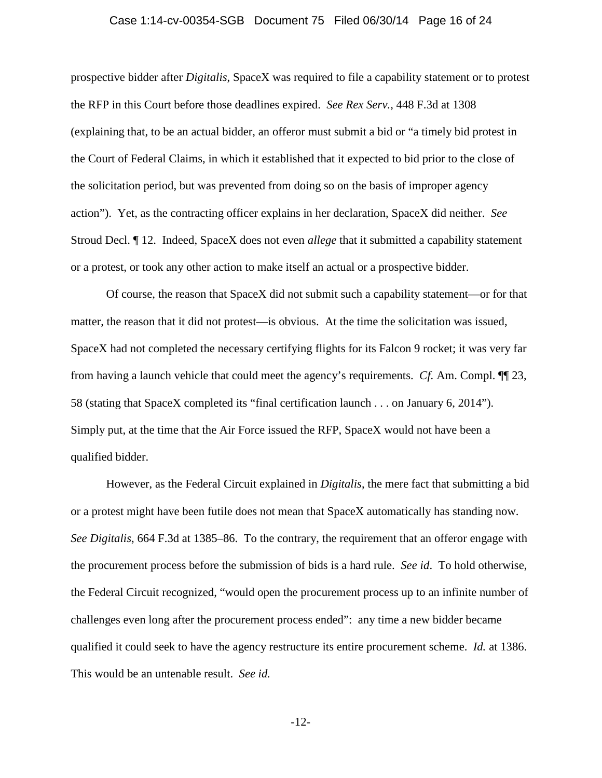#### Case 1:14-cv-00354-SGB Document 75 Filed 06/30/14 Page 16 of 24

prospective bidder after *Digitalis*, SpaceX was required to file a capability statement or to protest the RFP in this Court before those deadlines expired. *See Rex Serv.*, 448 F.3d at 1308 (explaining that, to be an actual bidder, an offeror must submit a bid or "a timely bid protest in the Court of Federal Claims, in which it established that it expected to bid prior to the close of the solicitation period, but was prevented from doing so on the basis of improper agency action"). Yet, as the contracting officer explains in her declaration, SpaceX did neither. *See*  Stroud Decl. ¶ 12. Indeed, SpaceX does not even *allege* that it submitted a capability statement or a protest, or took any other action to make itself an actual or a prospective bidder.

Of course, the reason that SpaceX did not submit such a capability statement—or for that matter, the reason that it did not protest—is obvious. At the time the solicitation was issued, SpaceX had not completed the necessary certifying flights for its Falcon 9 rocket; it was very far from having a launch vehicle that could meet the agency's requirements. *Cf.* Am. Compl. ¶¶ 23, 58 (stating that SpaceX completed its "final certification launch . . . on January 6, 2014"). Simply put, at the time that the Air Force issued the RFP, SpaceX would not have been a qualified bidder.

However, as the Federal Circuit explained in *Digitalis*, the mere fact that submitting a bid or a protest might have been futile does not mean that SpaceX automatically has standing now. *See Digitalis*, 664 F.3d at 1385–86. To the contrary, the requirement that an offeror engage with the procurement process before the submission of bids is a hard rule. *See id*. To hold otherwise, the Federal Circuit recognized, "would open the procurement process up to an infinite number of challenges even long after the procurement process ended": any time a new bidder became qualified it could seek to have the agency restructure its entire procurement scheme. *Id.* at 1386. This would be an untenable result. *See id.*

-12-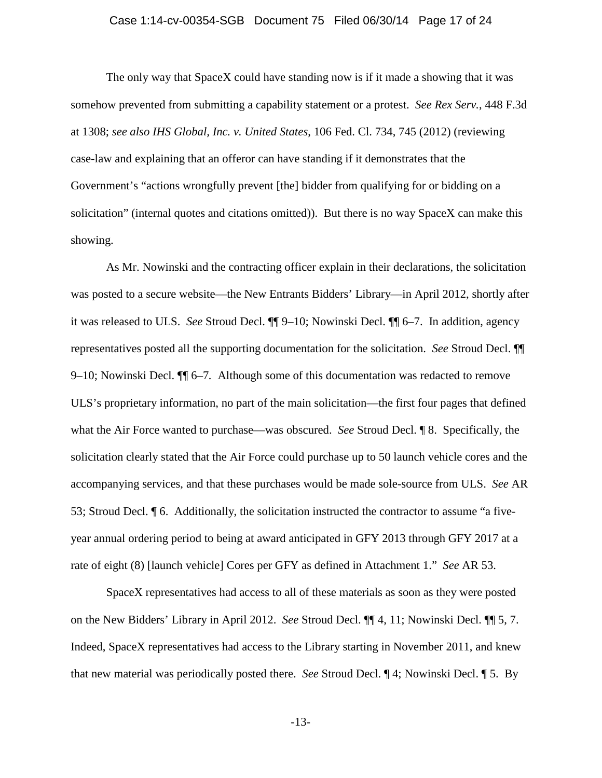#### Case 1:14-cv-00354-SGB Document 75 Filed 06/30/14 Page 17 of 24

The only way that SpaceX could have standing now is if it made a showing that it was somehow prevented from submitting a capability statement or a protest. *See Rex Serv.*, 448 F.3d at 1308; *see also IHS Global, Inc. v. United States*, 106 Fed. Cl. 734, 745 (2012) (reviewing case-law and explaining that an offeror can have standing if it demonstrates that the Government's "actions wrongfully prevent [the] bidder from qualifying for or bidding on a solicitation" (internal quotes and citations omitted)). But there is no way SpaceX can make this showing.

As Mr. Nowinski and the contracting officer explain in their declarations, the solicitation was posted to a secure website—the New Entrants Bidders' Library—in April 2012, shortly after it was released to ULS. *See* Stroud Decl. ¶¶ 9–10; Nowinski Decl. ¶¶ 6–7. In addition, agency representatives posted all the supporting documentation for the solicitation. *See* Stroud Decl. ¶¶ 9–10; Nowinski Decl. ¶¶ 6–7*.* Although some of this documentation was redacted to remove ULS's proprietary information, no part of the main solicitation—the first four pages that defined what the Air Force wanted to purchase—was obscured. *See* Stroud Decl. ¶ 8. Specifically, the solicitation clearly stated that the Air Force could purchase up to 50 launch vehicle cores and the accompanying services, and that these purchases would be made sole-source from ULS. *See* AR 53; Stroud Decl. ¶ 6. Additionally, the solicitation instructed the contractor to assume "a fiveyear annual ordering period to being at award anticipated in GFY 2013 through GFY 2017 at a rate of eight (8) [launch vehicle] Cores per GFY as defined in Attachment 1." *See* AR 53.

SpaceX representatives had access to all of these materials as soon as they were posted on the New Bidders' Library in April 2012. *See* Stroud Decl. ¶¶ 4, 11; Nowinski Decl. ¶¶ 5, 7. Indeed, SpaceX representatives had access to the Library starting in November 2011, and knew that new material was periodically posted there. *See* Stroud Decl. ¶ 4; Nowinski Decl. ¶ 5. By

-13-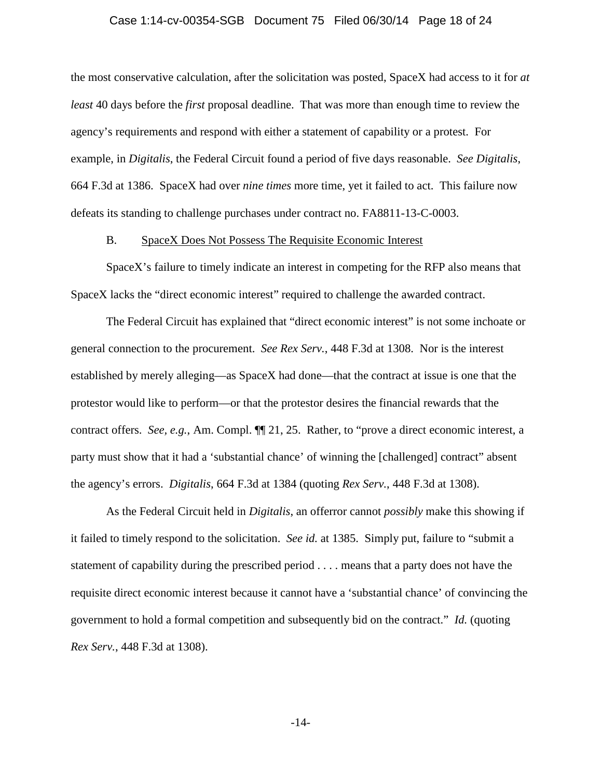#### Case 1:14-cv-00354-SGB Document 75 Filed 06/30/14 Page 18 of 24

the most conservative calculation, after the solicitation was posted, SpaceX had access to it for *at least* 40 days before the *first* proposal deadline. That was more than enough time to review the agency's requirements and respond with either a statement of capability or a protest. For example, in *Digitalis*, the Federal Circuit found a period of five days reasonable. *See Digitalis*, 664 F.3d at 1386. SpaceX had over *nine times* more time, yet it failed to act. This failure now defeats its standing to challenge purchases under contract no. FA8811-13-C-0003.

#### B. SpaceX Does Not Possess The Requisite Economic Interest

SpaceX's failure to timely indicate an interest in competing for the RFP also means that SpaceX lacks the "direct economic interest" required to challenge the awarded contract.

The Federal Circuit has explained that "direct economic interest" is not some inchoate or general connection to the procurement. *See Rex Serv.*, 448 F.3d at 1308. Nor is the interest established by merely alleging—as SpaceX had done—that the contract at issue is one that the protestor would like to perform—or that the protestor desires the financial rewards that the contract offers. *See, e.g.*, Am. Compl. ¶¶ 21, 25. Rather, to "prove a direct economic interest, a party must show that it had a 'substantial chance' of winning the [challenged] contract" absent the agency's errors. *Digitalis*, 664 F.3d at 1384 (quoting *Rex Serv.*, 448 F.3d at 1308).

As the Federal Circuit held in *Digitalis*, an offerror cannot *possibly* make this showing if it failed to timely respond to the solicitation. *See id.* at 1385. Simply put, failure to "submit a statement of capability during the prescribed period . . . . means that a party does not have the requisite direct economic interest because it cannot have a 'substantial chance' of convincing the government to hold a formal competition and subsequently bid on the contract." *Id.* (quoting *Rex Serv.*, 448 F.3d at 1308).

-14-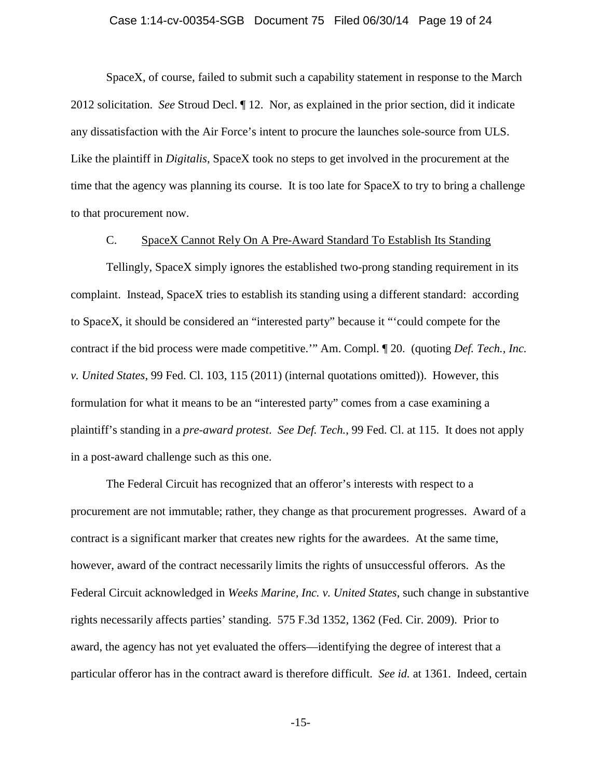#### Case 1:14-cv-00354-SGB Document 75 Filed 06/30/14 Page 19 of 24

SpaceX, of course, failed to submit such a capability statement in response to the March 2012 solicitation. *See* Stroud Decl. ¶ 12. Nor, as explained in the prior section, did it indicate any dissatisfaction with the Air Force's intent to procure the launches sole-source from ULS. Like the plaintiff in *Digitalis*, SpaceX took no steps to get involved in the procurement at the time that the agency was planning its course. It is too late for SpaceX to try to bring a challenge to that procurement now.

#### C. SpaceX Cannot Rely On A Pre-Award Standard To Establish Its Standing

Tellingly, SpaceX simply ignores the established two-prong standing requirement in its complaint. Instead, SpaceX tries to establish its standing using a different standard: according to SpaceX, it should be considered an "interested party" because it "'could compete for the contract if the bid process were made competitive.'" Am. Compl. ¶ 20. (quoting *Def. Tech., Inc. v. United States*, 99 Fed. Cl. 103, 115 (2011) (internal quotations omitted)). However, this formulation for what it means to be an "interested party" comes from a case examining a plaintiff's standing in a *pre-award protest*. *See Def. Tech.*, 99 Fed. Cl. at 115. It does not apply in a post-award challenge such as this one.

The Federal Circuit has recognized that an offeror's interests with respect to a procurement are not immutable; rather, they change as that procurement progresses. Award of a contract is a significant marker that creates new rights for the awardees. At the same time, however, award of the contract necessarily limits the rights of unsuccessful offerors. As the Federal Circuit acknowledged in *Weeks Marine, Inc. v. United States*, such change in substantive rights necessarily affects parties' standing. 575 F.3d 1352, 1362 (Fed. Cir. 2009). Prior to award, the agency has not yet evaluated the offers—identifying the degree of interest that a particular offeror has in the contract award is therefore difficult. *See id.* at 1361. Indeed, certain

-15-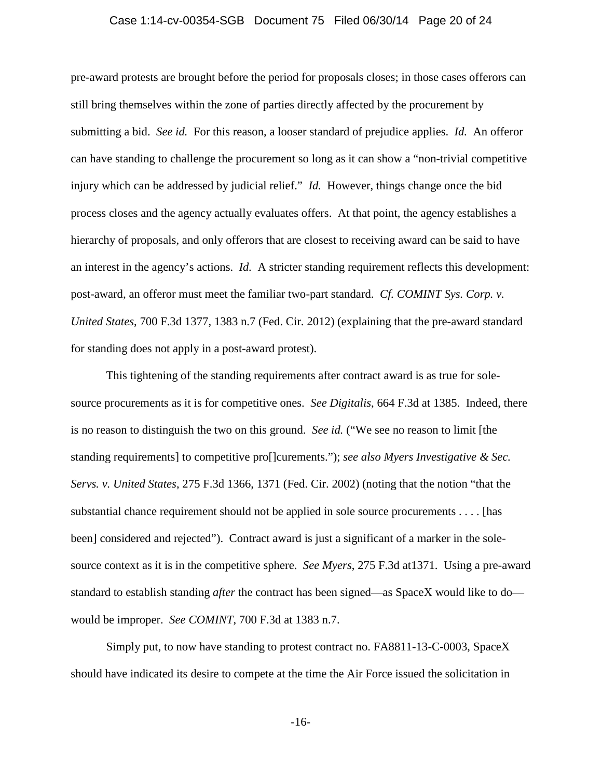#### Case 1:14-cv-00354-SGB Document 75 Filed 06/30/14 Page 20 of 24

pre-award protests are brought before the period for proposals closes; in those cases offerors can still bring themselves within the zone of parties directly affected by the procurement by submitting a bid. *See id.* For this reason, a looser standard of prejudice applies. *Id.* An offeror can have standing to challenge the procurement so long as it can show a "non-trivial competitive injury which can be addressed by judicial relief." *Id.* However, things change once the bid process closes and the agency actually evaluates offers. At that point, the agency establishes a hierarchy of proposals, and only offerors that are closest to receiving award can be said to have an interest in the agency's actions. *Id.* A stricter standing requirement reflects this development: post-award, an offeror must meet the familiar two-part standard. *Cf. COMINT Sys. Corp. v. United States*, 700 F.3d 1377, 1383 n.7 (Fed. Cir. 2012) (explaining that the pre-award standard for standing does not apply in a post-award protest).

This tightening of the standing requirements after contract award is as true for solesource procurements as it is for competitive ones. *See Digitalis*, 664 F.3d at 1385. Indeed, there is no reason to distinguish the two on this ground. *See id.* ("We see no reason to limit [the standing requirements] to competitive pro[]curements."); *see also Myers Investigative & Sec. Servs. v. United States*, 275 F.3d 1366, 1371 (Fed. Cir. 2002) (noting that the notion "that the substantial chance requirement should not be applied in sole source procurements . . . . [has been] considered and rejected"). Contract award is just a significant of a marker in the solesource context as it is in the competitive sphere. *See Myers*, 275 F.3d at1371. Using a pre-award standard to establish standing *after* the contract has been signed—as SpaceX would like to do would be improper. *See COMINT*, 700 F.3d at 1383 n.7.

Simply put, to now have standing to protest contract no. FA8811-13-C-0003, SpaceX should have indicated its desire to compete at the time the Air Force issued the solicitation in

-16-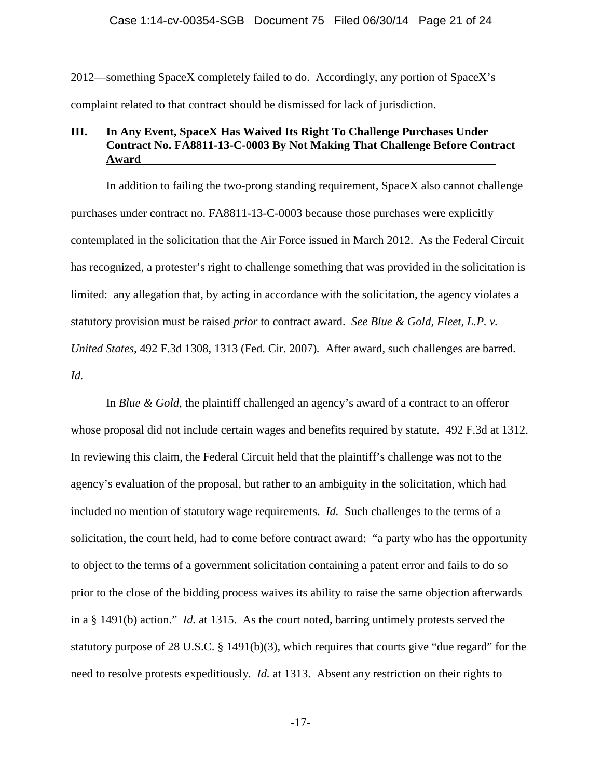#### Case 1:14-cv-00354-SGB Document 75 Filed 06/30/14 Page 21 of 24

2012—something SpaceX completely failed to do. Accordingly, any portion of SpaceX's complaint related to that contract should be dismissed for lack of jurisdiction.

## **III. In Any Event, SpaceX Has Waived Its Right To Challenge Purchases Under Contract No. FA8811-13-C-0003 By Not Making That Challenge Before Contract Award**

In addition to failing the two-prong standing requirement, SpaceX also cannot challenge purchases under contract no. FA8811-13-C-0003 because those purchases were explicitly contemplated in the solicitation that the Air Force issued in March 2012. As the Federal Circuit has recognized, a protester's right to challenge something that was provided in the solicitation is limited: any allegation that, by acting in accordance with the solicitation, the agency violates a statutory provision must be raised *prior* to contract award. *See Blue & Gold, Fleet, L.P. v. United States*, 492 F.3d 1308, 1313 (Fed. Cir. 2007)*.* After award, such challenges are barred. *Id.* 

In *Blue & Gold*, the plaintiff challenged an agency's award of a contract to an offeror whose proposal did not include certain wages and benefits required by statute. 492 F.3d at 1312. In reviewing this claim, the Federal Circuit held that the plaintiff's challenge was not to the agency's evaluation of the proposal, but rather to an ambiguity in the solicitation, which had included no mention of statutory wage requirements. *Id.* Such challenges to the terms of a solicitation, the court held, had to come before contract award: "a party who has the opportunity to object to the terms of a government solicitation containing a patent error and fails to do so prior to the close of the bidding process waives its ability to raise the same objection afterwards in a § 1491(b) action." *Id.* at 1315. As the court noted, barring untimely protests served the statutory purpose of 28 U.S.C.  $\S$  1491(b)(3), which requires that courts give "due regard" for the need to resolve protests expeditiously. *Id.* at 1313. Absent any restriction on their rights to

-17-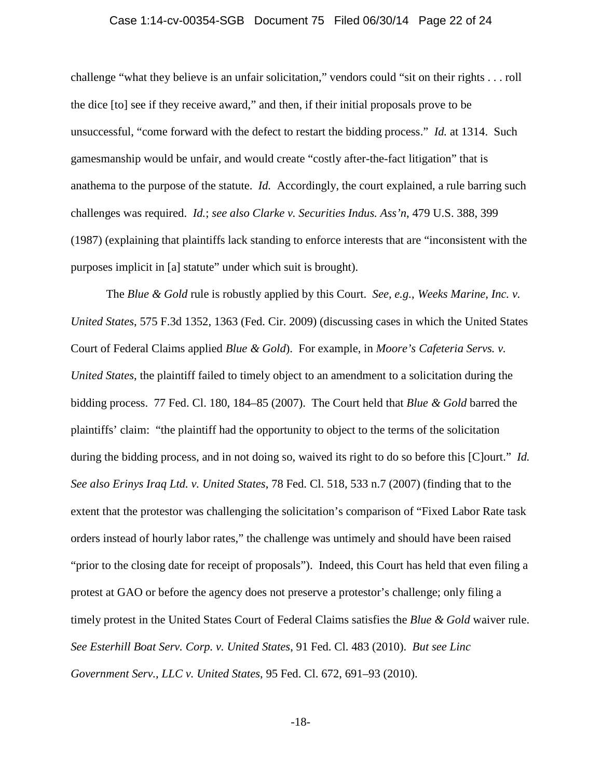#### Case 1:14-cv-00354-SGB Document 75 Filed 06/30/14 Page 22 of 24

challenge "what they believe is an unfair solicitation," vendors could "sit on their rights . . . roll the dice [to] see if they receive award," and then, if their initial proposals prove to be unsuccessful, "come forward with the defect to restart the bidding process." *Id.* at 1314. Such gamesmanship would be unfair, and would create "costly after-the-fact litigation" that is anathema to the purpose of the statute. *Id.* Accordingly, the court explained, a rule barring such challenges was required. *Id.*; *see also Clarke v. Securities Indus. Ass'n*, 479 U.S. 388, 399 (1987) (explaining that plaintiffs lack standing to enforce interests that are "inconsistent with the purposes implicit in [a] statute" under which suit is brought).

The *Blue & Gold* rule is robustly applied by this Court. *See, e.g.*, *Weeks Marine, Inc. v. United States*, 575 F.3d 1352, 1363 (Fed. Cir. 2009) (discussing cases in which the United States Court of Federal Claims applied *Blue & Gold*). For example, in *Moore's Cafeteria Servs. v. United States*, the plaintiff failed to timely object to an amendment to a solicitation during the bidding process. 77 Fed. Cl. 180, 184–85 (2007). The Court held that *Blue & Gold* barred the plaintiffs' claim: "the plaintiff had the opportunity to object to the terms of the solicitation during the bidding process, and in not doing so, waived its right to do so before this [C]ourt." *Id. See also Erinys Iraq Ltd. v. United States*, 78 Fed. Cl. 518, 533 n.7 (2007) (finding that to the extent that the protestor was challenging the solicitation's comparison of "Fixed Labor Rate task orders instead of hourly labor rates," the challenge was untimely and should have been raised "prior to the closing date for receipt of proposals"). Indeed, this Court has held that even filing a protest at GAO or before the agency does not preserve a protestor's challenge; only filing a timely protest in the United States Court of Federal Claims satisfies the *Blue & Gold* waiver rule. *See Esterhill Boat Serv. Corp. v. United States*, 91 Fed. Cl. 483 (2010). *But see Linc Government Serv., LLC v. United States*, 95 Fed. Cl. 672, 691–93 (2010).

-18-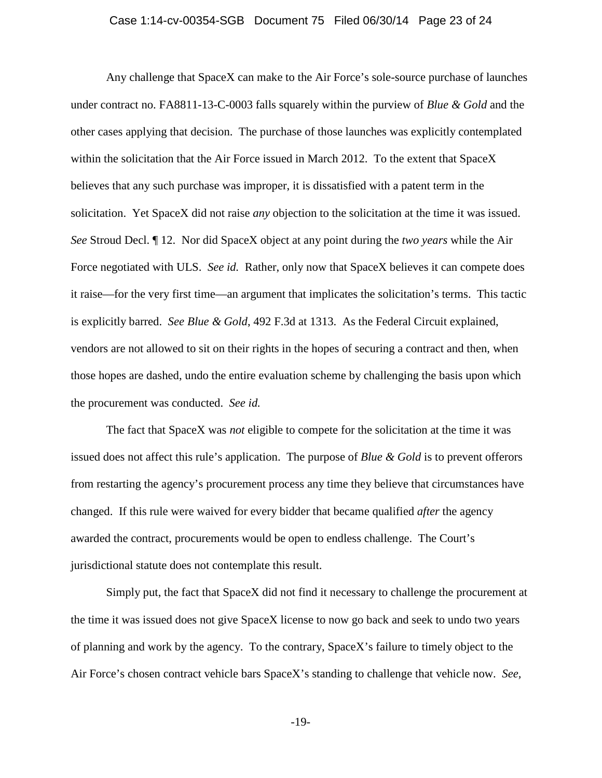#### Case 1:14-cv-00354-SGB Document 75 Filed 06/30/14 Page 23 of 24

Any challenge that SpaceX can make to the Air Force's sole-source purchase of launches under contract no. FA8811-13-C-0003 falls squarely within the purview of *Blue & Gold* and the other cases applying that decision. The purchase of those launches was explicitly contemplated within the solicitation that the Air Force issued in March 2012. To the extent that SpaceX believes that any such purchase was improper, it is dissatisfied with a patent term in the solicitation. Yet SpaceX did not raise *any* objection to the solicitation at the time it was issued. *See* Stroud Decl. ¶ 12. Nor did SpaceX object at any point during the *two years* while the Air Force negotiated with ULS. *See id.* Rather, only now that SpaceX believes it can compete does it raise—for the very first time—an argument that implicates the solicitation's terms. This tactic is explicitly barred. *See Blue & Gold*, 492 F.3d at 1313. As the Federal Circuit explained, vendors are not allowed to sit on their rights in the hopes of securing a contract and then, when those hopes are dashed, undo the entire evaluation scheme by challenging the basis upon which the procurement was conducted. *See id.*

The fact that SpaceX was *not* eligible to compete for the solicitation at the time it was issued does not affect this rule's application. The purpose of *Blue & Gold* is to prevent offerors from restarting the agency's procurement process any time they believe that circumstances have changed. If this rule were waived for every bidder that became qualified *after* the agency awarded the contract, procurements would be open to endless challenge. The Court's jurisdictional statute does not contemplate this result.

Simply put, the fact that SpaceX did not find it necessary to challenge the procurement at the time it was issued does not give SpaceX license to now go back and seek to undo two years of planning and work by the agency. To the contrary, SpaceX's failure to timely object to the Air Force's chosen contract vehicle bars SpaceX's standing to challenge that vehicle now. *See,* 

-19-